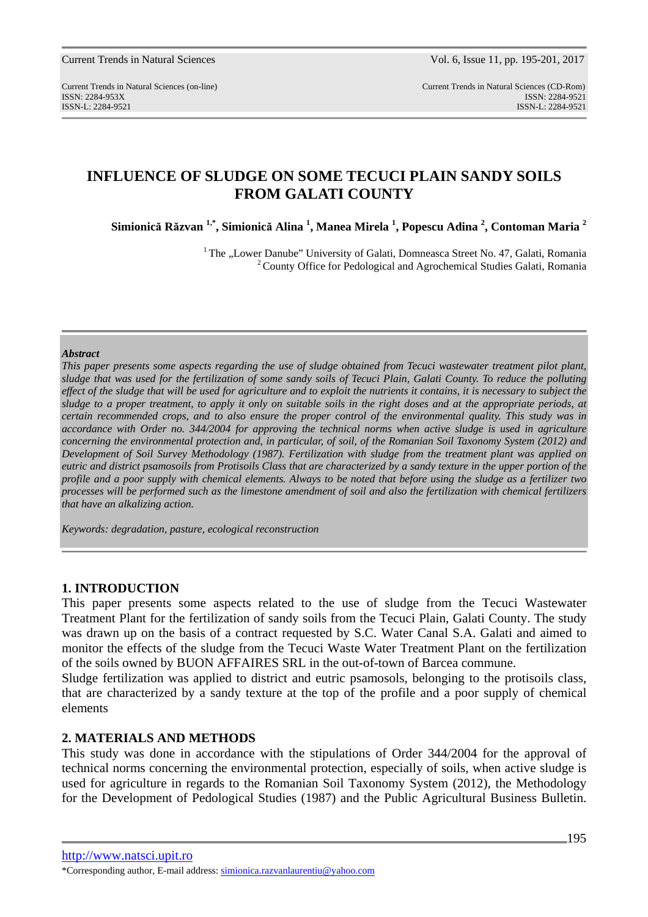# **INFLUENCE OF SLUDGE ON SOME TECUCI PLAIN SANDY SOILS FROM GALATI COUNTY**

**Simionică Răzvan 1,\*, Simionică Alina <sup>1</sup> , Manea Mirela <sup>1</sup> , Popescu Adina <sup>2</sup> , Contoman Maria <sup>2</sup>**

 $1$ The "Lower Danube" University of Galati, Domneasca Street No. 47, Galati, Romania <sup>2</sup> County Office for Pedological and Agrochemical Studies Galati, Romania

#### *Abstract*

*This paper presents some aspects regarding the use of sludge obtained from Tecuci wastewater treatment pilot plant, sludge that was used for the fertilization of some sandy soils of Tecuci Plain, Galati County. To reduce the polluting effect of the sludge that will be used for agriculture and to exploit the nutrients it contains, it is necessary to subject the sludge to a proper treatment, to apply it only on suitable soils in the right doses and at the appropriate periods, at certain recommended crops, and to also ensure the proper control of the environmental quality. This study was in accordance with Order no. 344/2004 for approving the technical norms when active sludge is used in agriculture concerning the environmental protection and, in particular, of soil, of the Romanian Soil Taxonomy System (2012) and Development of Soil Survey Methodology (1987). Fertilization with sludge from the treatment plant was applied on eutric and district psamosoils from Protisoils Class that are characterized by a sandy texture in the upper portion of the profile and a poor supply with chemical elements. Always to be noted that before using the sludge as a fertilizer two processes will be performed such as the limestone amendment of soil and also the fertilization with chemical fertilizers that have an alkalizing action.* 

*Keywords: degradation, pasture, ecological reconstruction* 

### **1. INTRODUCTION**

This paper presents some aspects related to the use of sludge from the Tecuci Wastewater Treatment Plant for the fertilization of sandy soils from the Tecuci Plain, Galati County. The study was drawn up on the basis of a contract requested by S.C. Water Canal S.A. Galati and aimed to monitor the effects of the sludge from the Tecuci Waste Water Treatment Plant on the fertilization of the soils owned by BUON AFFAIRES SRL in the out-of-town of Barcea commune.

Sludge fertilization was applied to district and eutric psamosols, belonging to the protisoils class, that are characterized by a sandy texture at the top of the profile and a poor supply of chemical elements

### **2. MATERIALS AND METHODS**

This study was done in accordance with the stipulations of Order 344/2004 for the approval of technical norms concerning the environmental protection, especially of soils, when active sludge is used for agriculture in regards to the Romanian Soil Taxonomy System (2012), the Methodology for the Development of Pedological Studies (1987) and the Public Agricultural Business Bulletin.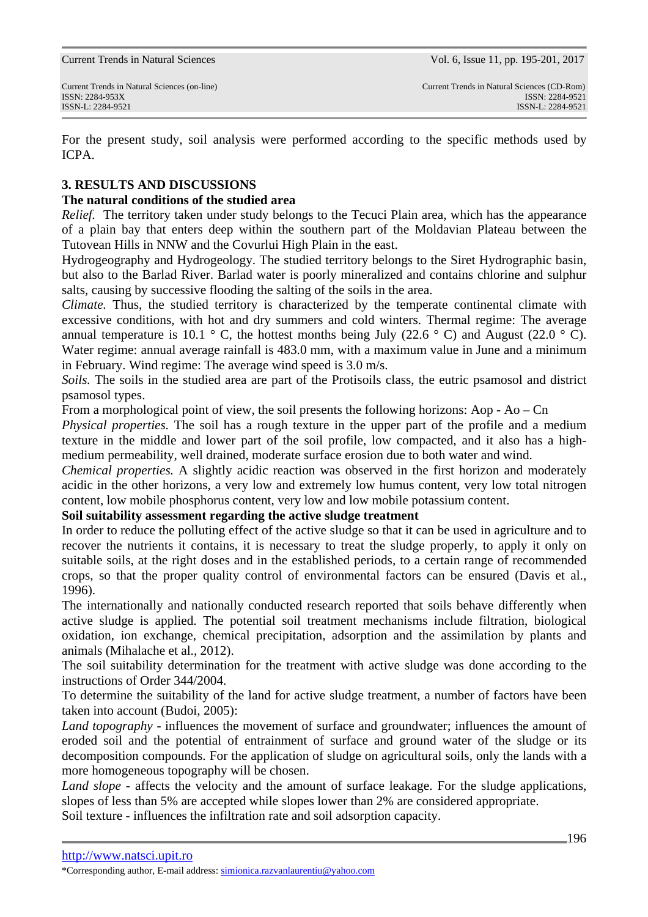Current Trends in Natural Sciences (on-line) Current Trends in Natural Sciences (CD-Rom)

For the present study, soil analysis were performed according to the specific methods used by ICPA.

## **3. RESULTS AND DISCUSSIONS**

### **The natural conditions of the studied area**

*Relief.* The territory taken under study belongs to the Tecuci Plain area, which has the appearance of a plain bay that enters deep within the southern part of the Moldavian Plateau between the Tutovean Hills in NNW and the Covurlui High Plain in the east.

Hydrogeography and Hydrogeology. The studied territory belongs to the Siret Hydrographic basin, but also to the Barlad River. Barlad water is poorly mineralized and contains chlorine and sulphur salts, causing by successive flooding the salting of the soils in the area.

*Climate.* Thus, the studied territory is characterized by the temperate continental climate with excessive conditions, with hot and dry summers and cold winters. Thermal regime: The average annual temperature is 10.1  $\degree$  C, the hottest months being July (22.6  $\degree$  C) and August (22.0  $\degree$  C). Water regime: annual average rainfall is 483.0 mm, with a maximum value in June and a minimum in February. Wind regime: The average wind speed is 3.0 m/s.

*Soils.* The soils in the studied area are part of the Protisoils class, the eutric psamosol and district psamosol types.

From a morphological point of view, the soil presents the following horizons: Aop - Ao – Cn

*Physical properties.* The soil has a rough texture in the upper part of the profile and a medium texture in the middle and lower part of the soil profile, low compacted, and it also has a highmedium permeability, well drained, moderate surface erosion due to both water and wind.

*Chemical properties.* A slightly acidic reaction was observed in the first horizon and moderately acidic in the other horizons, a very low and extremely low humus content, very low total nitrogen content, low mobile phosphorus content, very low and low mobile potassium content.

## **Soil suitability assessment regarding the active sludge treatment**

In order to reduce the polluting effect of the active sludge so that it can be used in agriculture and to recover the nutrients it contains, it is necessary to treat the sludge properly, to apply it only on suitable soils, at the right doses and in the established periods, to a certain range of recommended crops, so that the proper quality control of environmental factors can be ensured (Davis et al., 1996).

The internationally and nationally conducted research reported that soils behave differently when active sludge is applied. The potential soil treatment mechanisms include filtration, biological oxidation, ion exchange, chemical precipitation, adsorption and the assimilation by plants and animals (Mihalache et al., 2012).

The soil suitability determination for the treatment with active sludge was done according to the instructions of Order 344/2004.

To determine the suitability of the land for active sludge treatment, a number of factors have been taken into account (Budoi, 2005):

*Land topography* - influences the movement of surface and groundwater; influences the amount of eroded soil and the potential of entrainment of surface and ground water of the sludge or its decomposition compounds. For the application of sludge on agricultural soils, only the lands with a more homogeneous topography will be chosen.

*Land slope* - affects the velocity and the amount of surface leakage. For the sludge applications, slopes of less than 5% are accepted while slopes lower than 2% are considered appropriate. Soil texture - influences the infiltration rate and soil adsorption capacity.

\*Corresponding author, E-mail address: simionica.razvanlaurentiu@yahoo.com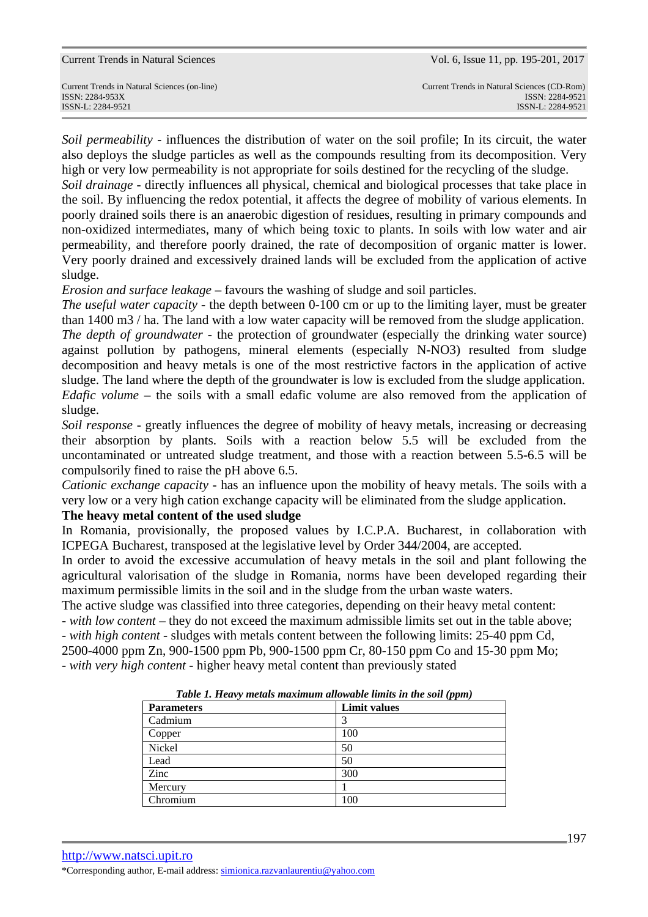Current Trends in Natural Sciences Vol. 6, Issue 11, pp. 195-201, 2017

*Soil permeability* - influences the distribution of water on the soil profile; In its circuit, the water also deploys the sludge particles as well as the compounds resulting from its decomposition. Very high or very low permeability is not appropriate for soils destined for the recycling of the sludge.

*Soil drainage* - directly influences all physical, chemical and biological processes that take place in the soil. By influencing the redox potential, it affects the degree of mobility of various elements. In poorly drained soils there is an anaerobic digestion of residues, resulting in primary compounds and non-oxidized intermediates, many of which being toxic to plants. In soils with low water and air permeability, and therefore poorly drained, the rate of decomposition of organic matter is lower. Very poorly drained and excessively drained lands will be excluded from the application of active sludge.

*Erosion and surface leakage* – favours the washing of sludge and soil particles.

*The useful water capacity* - the depth between 0-100 cm or up to the limiting layer, must be greater than 1400 m3 / ha. The land with a low water capacity will be removed from the sludge application. *The depth of groundwater* - the protection of groundwater (especially the drinking water source) against pollution by pathogens, mineral elements (especially N-NO3) resulted from sludge decomposition and heavy metals is one of the most restrictive factors in the application of active sludge. The land where the depth of the groundwater is low is excluded from the sludge application. *Edafic volume* – the soils with a small edafic volume are also removed from the application of sludge.

*Soil response* - greatly influences the degree of mobility of heavy metals, increasing or decreasing their absorption by plants. Soils with a reaction below 5.5 will be excluded from the uncontaminated or untreated sludge treatment, and those with a reaction between 5.5-6.5 will be compulsorily fined to raise the pH above 6.5.

*Cationic exchange capacity* - has an influence upon the mobility of heavy metals. The soils with a very low or a very high cation exchange capacity will be eliminated from the sludge application.

### **The heavy metal content of the used sludge**

In Romania, provisionally, the proposed values by I.C.P.A. Bucharest, in collaboration with ICPEGA Bucharest, transposed at the legislative level by Order 344/2004, are accepted.

In order to avoid the excessive accumulation of heavy metals in the soil and plant following the agricultural valorisation of the sludge in Romania, norms have been developed regarding their maximum permissible limits in the soil and in the sludge from the urban waste waters.

The active sludge was classified into three categories, depending on their heavy metal content:

- *with low content* – they do not exceed the maximum admissible limits set out in the table above; - *with high content* - sludges with metals content between the following limits: 25-40 ppm Cd, 2500-4000 ppm Zn, 900-1500 ppm Pb, 900-1500 ppm Cr, 80-150 ppm Co and 15-30 ppm Mo; - *with very high content* - higher heavy metal content than previously stated

| <b>Parameters</b> | <b>Limit values</b> |
|-------------------|---------------------|
| Cadmium           |                     |
| Copper            | 100                 |
| Nickel            | 50                  |
| Lead              | 50                  |
| Zinc              | 300                 |
| Mercury           |                     |
| Chromium          | 100                 |

*Table 1. Heavy metals maximum allowable limits in the soil (ppm)*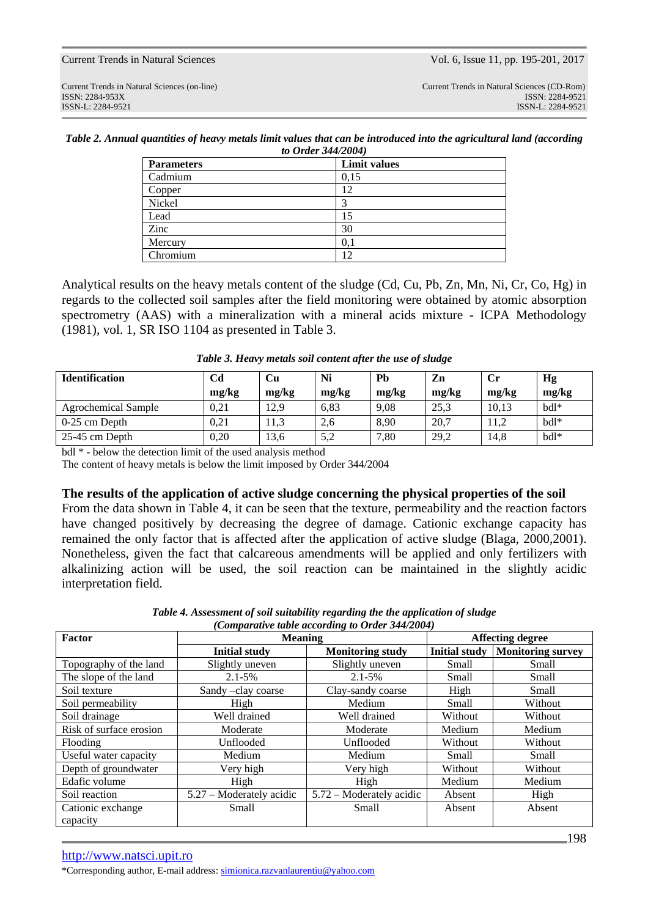*Table 2. Annual quantities of heavy metals limit values that can be introduced into the agricultural land (according to Order 344/2004)* 

| <b>Parameters</b> | <b>Limit values</b> |
|-------------------|---------------------|
| Cadmium           | 0,15                |
| Copper            | 12                  |
| Nickel            | 3                   |
| Lead              | 15                  |
| Zinc              | 30                  |
| Mercury           | 0,1                 |
| Chromium          | 12                  |

Analytical results on the heavy metals content of the sludge (Cd, Cu, Pb, Zn, Mn, Ni, Cr, Co, Hg) in regards to the collected soil samples after the field monitoring were obtained by atomic absorption spectrometry (AAS) with a mineralization with a mineral acids mixture - ICPA Methodology (1981), vol. 1, SR ISO 1104 as presented in Table 3.

| <b>Identification</b>      | Cd    | <b>Cu</b> | Ni    | Pb    | Zn    | <b>Cr</b> | Hg     |
|----------------------------|-------|-----------|-------|-------|-------|-----------|--------|
|                            | mg/kg | mg/kg     | mg/kg | mg/kg | mg/kg | mg/kg     | mg/kg  |
| <b>Agrochemical Sample</b> | 0,21  | 12,9      | 6.83  | 9.08  | 25,3  | 10,13     | $hdl*$ |
| $0-25$ cm Depth            | 0,21  | 11,3      | 2.6   | 8.90  | 20,7  | 11.2      | $hdl*$ |
| $25-45$ cm Depth           | 0,20  | 13,6      | 5,2   | 7,80  | 29,2  | 14,8      | bdl*   |

*Table 3. Heavy metals soil content after the use of sludge*

bdl \* - below the detection limit of the used analysis method

The content of heavy metals is below the limit imposed by Order 344/2004

#### **The results of the application of active sludge concerning the physical properties of the soil**

From the data shown in Table 4, it can be seen that the texture, permeability and the reaction factors have changed positively by decreasing the degree of damage. Cationic exchange capacity has remained the only factor that is affected after the application of active sludge (Blaga, 2000,2001). Nonetheless, given the fact that calcareous amendments will be applied and only fertilizers with alkalinizing action will be used, the soil reaction can be maintained in the slightly acidic interpretation field.

| Factor                  | <b>Meaning</b>           |                          | <b>Affecting degree</b> |                          |
|-------------------------|--------------------------|--------------------------|-------------------------|--------------------------|
|                         | <b>Initial study</b>     | <b>Monitoring study</b>  | <b>Initial study</b>    | <b>Monitoring survey</b> |
| Topography of the land  | Slightly uneven          | Slightly uneven          | Small                   | Small                    |
| The slope of the land   | $2.1 - 5\%$              | $2.1 - 5\%$              | Small                   | Small                    |
| Soil texture            | Sandy -clay coarse       | Clay-sandy coarse        | High                    | Small                    |
| Soil permeability       | High                     | Medium                   | Small                   | Without                  |
| Soil drainage           | Well drained             | Well drained             | Without                 | Without                  |
| Risk of surface erosion | Moderate                 | Moderate                 | Medium                  | Medium                   |
| Flooding                | Unflooded                | Unflooded                | Without                 | Without                  |
| Useful water capacity   | Medium                   | Medium                   | Small                   | Small                    |
| Depth of groundwater    | Very high                | Very high                | Without                 | Without                  |
| Edafic volume           | High                     | High                     | Medium                  | Medium                   |
| Soil reaction           | 5.27 – Moderately acidic | 5.72 – Moderately acidic | Absent                  | High                     |
| Cationic exchange       | Small                    | Small                    | Absent                  | Absent                   |
| capacity                |                          |                          |                         |                          |

*Table 4. Assessment of soil suitability regarding the the application of sludge (Comparative table according to Order 344/2004)*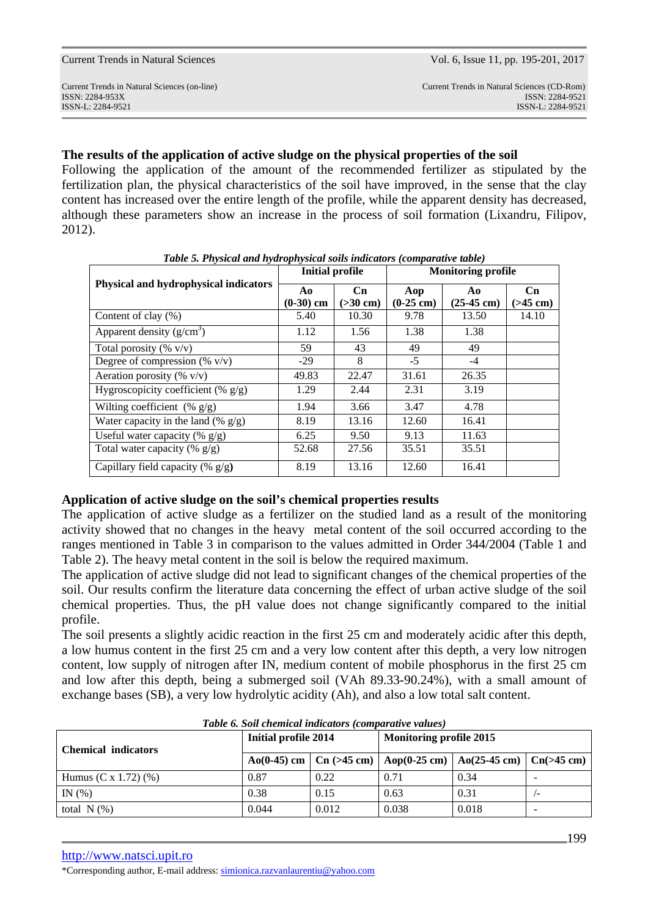## **The results of the application of active sludge on the physical properties of the soil**

Following the application of the amount of the recommended fertilizer as stipulated by the fertilization plan, the physical characteristics of the soil have improved, in the sense that the clay content has increased over the entire length of the profile, while the apparent density has decreased, although these parameters show an increase in the process of soil formation (Lixandru, Filipov, 2012).

| Tubic 9. I hysical and hydrophysical sous indicators (comparative lable) |                        |           |                           |                 |                |  |  |
|--------------------------------------------------------------------------|------------------------|-----------|---------------------------|-----------------|----------------|--|--|
|                                                                          | <b>Initial profile</b> |           | <b>Monitoring profile</b> |                 |                |  |  |
| Physical and hydrophysical indicators                                    | Ao.                    | Cn        | Aop                       | A0              | C <sub>n</sub> |  |  |
|                                                                          | $(0-30)$ cm            | ( >30 cm) | $(0-25$ cm)               | $(25-45$ cm $)$ | $>45$ cm)      |  |  |
| Content of clay (%)                                                      | 5.40                   | 10.30     | 9.78                      | 13.50           | 14.10          |  |  |
| Apparent density $(g/cm3)$                                               | 1.12                   | 1.56      | 1.38                      | 1.38            |                |  |  |
| Total porosity (% $v/v$ )                                                | 59                     | 43        | 49                        | 49              |                |  |  |
| Degree of compression $(\% \text{ v/v})$                                 | $-29$                  | 8         | $-5$                      | $-4$            |                |  |  |
| Aeration porosity (% $v/v$ )                                             | 49.83                  | 22.47     | 31.61                     | 26.35           |                |  |  |
| Hygroscopicity coefficient (% $g/g$ )                                    | 1.29                   | 2.44      | 2.31                      | 3.19            |                |  |  |
| Wilting coefficient $(\%$ g/g)                                           | 1.94                   | 3.66      | 3.47                      | 4.78            |                |  |  |
| Water capacity in the land $(\%$ g/g)                                    | 8.19                   | 13.16     | 12.60                     | 16.41           |                |  |  |
| Useful water capacity (% $g/g$ )                                         | 6.25                   | 9.50      | 9.13                      | 11.63           |                |  |  |
| Total water capacity (% $g/g$ )                                          | 52.68                  | 27.56     | 35.51                     | 35.51           |                |  |  |
| Capillary field capacity (% $g/g$ )                                      | 8.19                   | 13.16     | 12.60                     | 16.41           |                |  |  |

*Table 5. Physical and hydrophysical soils indicators (comparative table)* 

### **Application of active sludge on the soil's chemical properties results**

The application of active sludge as a fertilizer on the studied land as a result of the monitoring activity showed that no changes in the heavy metal content of the soil occurred according to the ranges mentioned in Table 3 in comparison to the values admitted in Order 344/2004 (Table 1 and Table 2). The heavy metal content in the soil is below the required maximum.

The application of active sludge did not lead to significant changes of the chemical properties of the soil. Our results confirm the literature data concerning the effect of urban active sludge of the soil chemical properties. Thus, the pH value does not change significantly compared to the initial profile.

The soil presents a slightly acidic reaction in the first 25 cm and moderately acidic after this depth, a low humus content in the first 25 cm and a very low content after this depth, a very low nitrogen content, low supply of nitrogen after IN, medium content of mobile phosphorus in the first 25 cm and low after this depth, being a submerged soil (VAh 89.33-90.24%), with a small amount of exchange bases (SB), a very low hydrolytic acidity (Ah), and also a low total salt content.

| <b>Chemical indicators</b> | <b>Initial profile 2014</b> |       | <b>Monitoring profile 2015</b>                                       |       |   |
|----------------------------|-----------------------------|-------|----------------------------------------------------------------------|-------|---|
|                            |                             |       | Ao(0-45) cm   Cn (>45 cm)   Aop(0-25 cm)   Ao(25-45 cm)   Cn(>45 cm) |       |   |
| Humus (C x 1.72) $(\% )$   | 0.87                        | 0.22  | 0.71                                                                 | 0.34  |   |
| IN $(\% )$                 | 0.38                        | 0.15  | 0.63                                                                 | 0.31  | , |
| total $N(\%)$              | 0.044                       | 0.012 | 0.038                                                                | 0.018 | - |

*Table 6. Soil chemical indicators (comparative values)* 

\*Corresponding author, E-mail address: simionica.razvanlaurentiu@yahoo.com

http://www.natsci.upit.ro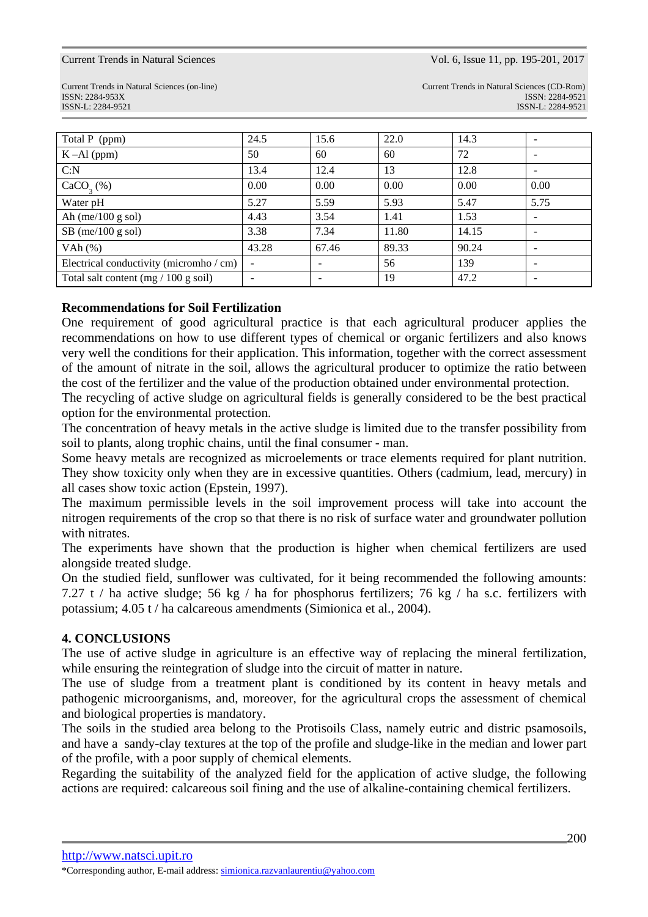Current Trends in Natural Sciences Vol. 6, Issue 11, pp. 195-201, 2017

ISSN-L: 2284-9521 ISSN-L: 2284-9521

Current Trends in Natural Sciences (on-line) Current Trends in Natural Sciences (CD-Rom) ISSN: 2284-953XISSN: 2284-9521

| Total P (ppm)                           | 24.5                     | 15.6  | 22.0  | 14.3  |      |
|-----------------------------------------|--------------------------|-------|-------|-------|------|
| $K-Al$ (ppm)                            | 50                       | 60    | 60    | 72    |      |
| C: N                                    | 13.4                     | 12.4  | 13    | 12.8  |      |
| $CaCO3(\%)$                             | 0.00                     | 0.00  | 0.00  | 0.00  | 0.00 |
| Water pH                                | 5.27                     | 5.59  | 5.93  | 5.47  | 5.75 |
| Ah (me/100 g sol)                       | 4.43                     | 3.54  | 1.41  | 1.53  |      |
| $SB$ (me/100 g sol)                     | 3.38                     | 7.34  | 11.80 | 14.15 |      |
| VA $h$ $(\%)$                           | 43.28                    | 67.46 | 89.33 | 90.24 |      |
| Electrical conductivity (micromho / cm) | $\overline{\phantom{a}}$ |       | 56    | 139   |      |
| Total salt content $(mg / 100 g)$ soil) |                          |       | 19    | 47.2  |      |

### **Recommendations for Soil Fertilization**

One requirement of good agricultural practice is that each agricultural producer applies the recommendations on how to use different types of chemical or organic fertilizers and also knows very well the conditions for their application. This information, together with the correct assessment of the amount of nitrate in the soil, allows the agricultural producer to optimize the ratio between the cost of the fertilizer and the value of the production obtained under environmental protection.

The recycling of active sludge on agricultural fields is generally considered to be the best practical option for the environmental protection.

The concentration of heavy metals in the active sludge is limited due to the transfer possibility from soil to plants, along trophic chains, until the final consumer - man.

Some heavy metals are recognized as microelements or trace elements required for plant nutrition. They show toxicity only when they are in excessive quantities. Others (cadmium, lead, mercury) in all cases show toxic action (Epstein, 1997).

The maximum permissible levels in the soil improvement process will take into account the nitrogen requirements of the crop so that there is no risk of surface water and groundwater pollution with nitrates.

The experiments have shown that the production is higher when chemical fertilizers are used alongside treated sludge.

On the studied field, sunflower was cultivated, for it being recommended the following amounts: 7.27 t / ha active sludge; 56 kg / ha for phosphorus fertilizers; 76 kg / ha s.c. fertilizers with potassium; 4.05 t / ha calcareous amendments (Simionica et al., 2004).

### **4. CONCLUSIONS**

The use of active sludge in agriculture is an effective way of replacing the mineral fertilization, while ensuring the reintegration of sludge into the circuit of matter in nature.

The use of sludge from a treatment plant is conditioned by its content in heavy metals and pathogenic microorganisms, and, moreover, for the agricultural crops the assessment of chemical and biological properties is mandatory.

The soils in the studied area belong to the Protisoils Class, namely eutric and distric psamosoils, and have a sandy-clay textures at the top of the profile and sludge-like in the median and lower part of the profile, with a poor supply of chemical elements.

Regarding the suitability of the analyzed field for the application of active sludge, the following actions are required: calcareous soil fining and the use of alkaline-containing chemical fertilizers.

http://www.natsci.upit.ro

\*Corresponding author, E-mail address: simionica.razvanlaurentiu@yahoo.com